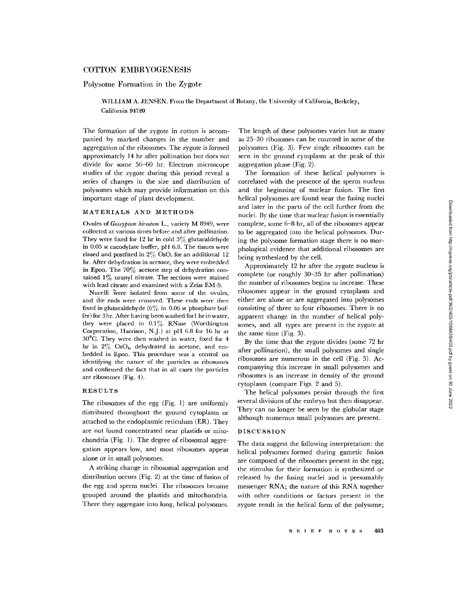# COTTON EMBRYOGENESIS

# Polysome Formation in the Zygote

WILLIAM A. JENSEN. From the Department of Botany, the University of California, Berkeley, California 94720

The formation of the zygote in cotton is accompanied by marked changes in the number and aggregation of the ribosomes. The zygote is formed approximately 14 hr after pollination but does not divide for some 56-60 hr. Electron microscope studies of the zygote during this period reveal a series of changes in the size and distribution of polysomes which may provide information on this important stage of plant development.

## MATERIALS AND METHODS

Ovules of *Gossypium hirsutum* L., variety M 8949, were collected at various times before and after pollination. They were fixed for 12 hr in cold  $3\%$  glutaraldehyde in 0.05 M cacodylate buffer, pH 6.8. The tissues were rinsed and postfixed in *2%* OsO, for an additional 12 hr. After dehydration in acetone, they were embedded in Epon. The  $70\%$  acetone step of dehydration contained  $1\%$  uranyl nitrate. The sections were stained with lead citrate and examined with a Zeiss EM-9.

Nucelli were isolated from some of the ovules. and th'e ends were removed. These ends were then fixed in glutaraldehyde  $(6\%$  in 0.06 M phosphate buffer) for 3 hr. After having been washed forl hr in water, they were placed in  $0.1\%$  RNase (Worthington Corporation, Harrison, N.J.) at pH 6.8 for 16 hr at 30°C. They were then washed in water, fixed for 4 hr in  $2\%$  OsO<sub>4</sub>, dehydrated in acetone, and embedded in Epon. This procedure was a control on identifying the nature of the particles as ribosomes and confirmed the fact that in all cases the particles are ribosomes (Fig. 4).

## RESULTS

The ribosomes of the egg (Fig. 1) are uniformly distributed throughout the ground cytoplasm or attached to the endoplasmic reticulum (ER). They are not found concentrated near plastids or mitochondria (Fig. 1). The degree of ribosomal aggregation appears low, and most ribosomes appear alone or in small polysomes.

A striking change in ribosomal aggregation and distribution occurs (Fig. 2) at the time of fusion of the egg and sperm nuclei. The ribosomes become grouped around the plastids and mitochondria. There they aggregate into long, helical polysomes.

The length of these polysomes varies but as many as 25-30 ribosomes can be counted in some of the polysomes (Fig. 3). Few single ribosomes can be seen in the ground cytoplasm at the peak of this aggregation phase (Fig. 2).

The formation of these helical polysomes is correlated with the presence of the sperm nucleus and the beginning of nuclear fusion. The first helical polysomes are found near the fusing nuclei and later in the parts of the cell further from the nuclei. By the time that nuclear fusion is essentially complete, some 6-8 hr, all of the ribosomes appear to be aggregated into the helical polysomes. During the polysome formation stage there is no morphological evidence that additional ribosomes are being synthesized by the cell.

Approximately 12 hr after the zygote nucleus is complete (or roughly 30-35 hr after pollination) the number of ribosomes begins to increase. These ribosomes appear in the ground cytoplasm and either are alone or are aggregated into polysomes consisting of three to four ribosomes. There is no apparent change in the number of helical polysomes, and all types are present in the zygote at the same time (Fig. 3).

By the time that the zygote divides (some 72 hr after pollination), the small polysomes and single ribosomes are numerous in the cell (Fig. 5). Accompanying this increase in small polysomes and ribosomes is an increase in density of the ground cytoplasm (compare Figs. 2 and 5).

The helical polysomes persist through the first several divisions of the embryo but then disappear. They can no longer be seen by the globular stage although numerous small polysomes are present.

## DISCUSSION

The data suggest the following interpretation: the helical polysomes formed during gametic fusion are composed of the ribosomes present in the egg; the stimulus for their formation is synthesized or released by the fusing nuclei and is presumably messenger RNA; the nature of this RNA together with other conditions or factors present in the zygote result in the helical form of the polysome;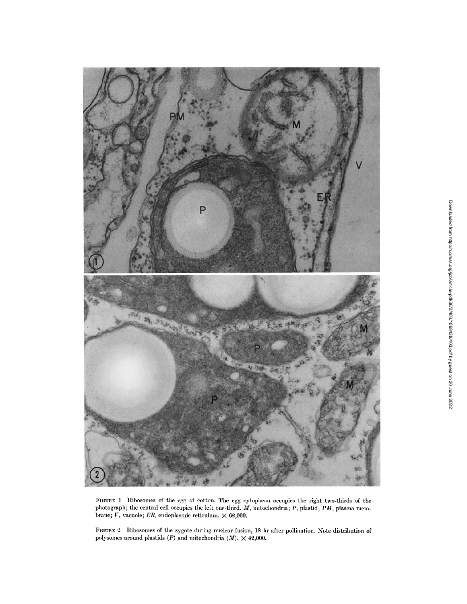

**FIGURE** 1 Ribosomes of the egg of cotton. The egg cytoplasm occupies the right two-thirds of the photograph; the central cell occupies the left one-third. *M,* mitochondria; *P,* plastid; *PM,* plasma membrane;  $V$ , vacuole;  $ER$ , endoplasmic reticulum.  $\times$  62,000.

FIGURE 2 Ribosomes of the zygote during nuclear fusion, 18 hr after pollination. Note distribution of polysomes around plastids  $(P)$  and mitochondria  $(M)$ .  $\times$  42,000.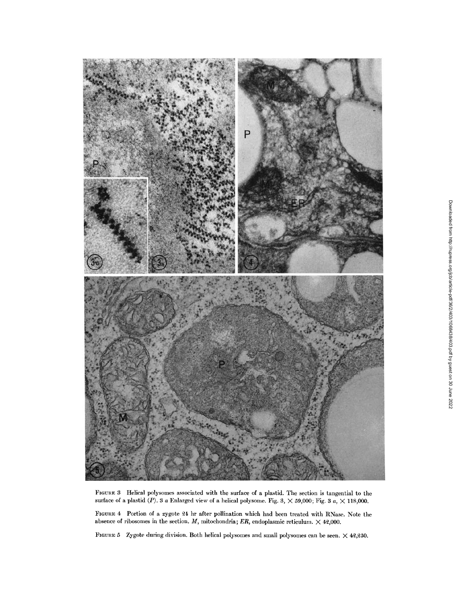

FIGURE 3 IHelical polysomes associated with the surface of a plastid. The section is tangential to the surface of a plastid  $(P)$ . 3 a Enlarged view of a helical polysome. Fig. 3,  $\times$  59,000; Fig. 3  $a$ ,  $\times$  118,000.

FIGURE 4 Portion of a zygote 24 hr after pollination which had been treated with RNase. Note the absence of ribosomes in the section. *M,* mitochondria; *ER,* endoplasmic reticulum. X 42,000.

FIGURE 5 Zygote during division. Both helical polysomes and small polysomes can be seen.  $\times$  42,250.